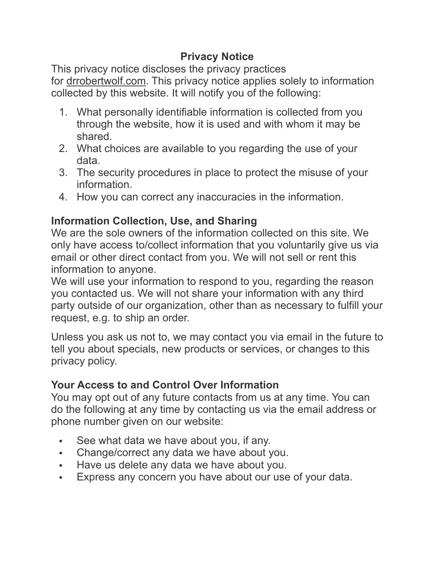## **Privacy Notice**

This privacy notice discloses the privacy practices for drrobertwolf.com. This privacy notice applies solely to information collected by this website. It will notify you of the following:

- 1. What personally identifiable information is collected from you through the website, how it is used and with whom it may be shared.
- 2. What choices are available to you regarding the use of your data.
- 3. The security procedures in place to protect the misuse of your **information**
- 4. How you can correct any inaccuracies in the information.

# **Information Collection, Use, and Sharing**

We are the sole owners of the information collected on this site. We only have access to/collect information that you voluntarily give us via email or other direct contact from you. We will not sell or rent this information to anyone.

We will use your information to respond to you, regarding the reason you contacted us. We will not share your information with any third party outside of our organization, other than as necessary to fulfill your request, e.g. to ship an order.

Unless you ask us not to, we may contact you via email in the future to tell you about specials, new products or services, or changes to this privacy policy.

### **Your Access to and Control Over Information**

You may opt out of any future contacts from us at any time. You can do the following at any time by contacting us via the email address or phone number given on our website:

- See what data we have about you, if any.
- Change/correct any data we have about you.
- Have us delete any data we have about you.
- Express any concern you have about our use of your data.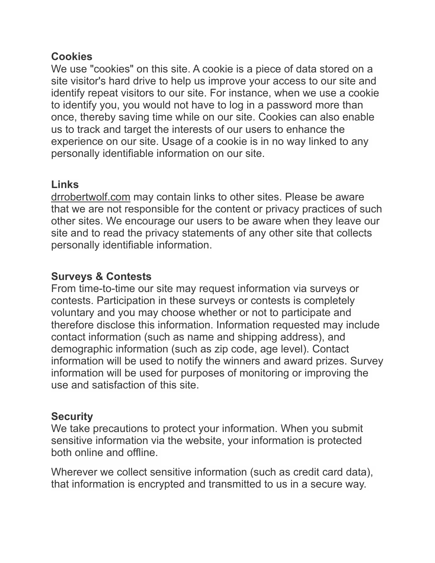#### **Cookies**

We use "cookies" on this site. A cookie is a piece of data stored on a site visitor's hard drive to help us improve your access to our site and identify repeat visitors to our site. For instance, when we use a cookie to identify you, you would not have to log in a password more than once, thereby saving time while on our site. Cookies can also enable us to track and target the interests of our users to enhance the experience on our site. Usage of a cookie is in no way linked to any personally identifiable information on our site.

# **Links**

[drrobertwolf.com](http://drrobertwolf.com) may contain links to other sites. Please be aware that we are not responsible for the content or privacy practices of such other sites. We encourage our users to be aware when they leave our site and to read the privacy statements of any other site that collects personally identifiable information.

# **Surveys & Contests**

From time-to-time our site may request information via surveys or contests. Participation in these surveys or contests is completely voluntary and you may choose whether or not to participate and therefore disclose this information. Information requested may include contact information (such as name and shipping address), and demographic information (such as zip code, age level). Contact information will be used to notify the winners and award prizes. Survey information will be used for purposes of monitoring or improving the use and satisfaction of this site.

### **Security**

We take precautions to protect your information. When you submit sensitive information via the website, your information is protected both online and offline.

Wherever we collect sensitive information (such as credit card data), that information is encrypted and transmitted to us in a secure way.